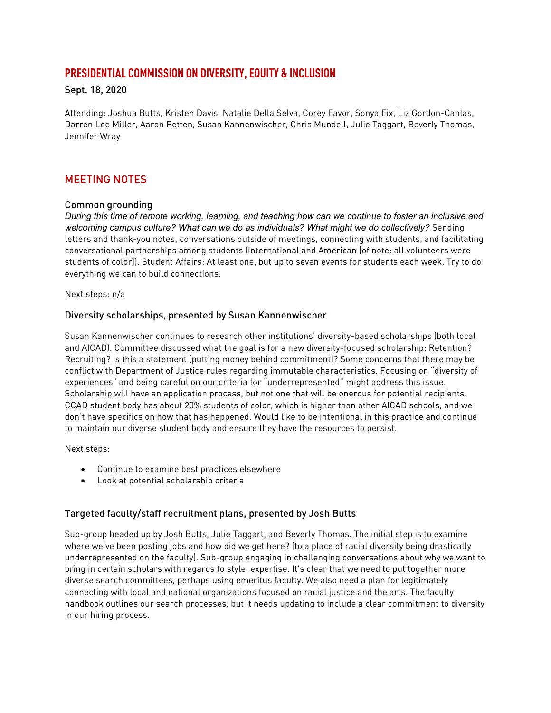# **PRESIDENTIAL COMMISSION ON DIVERSITY, EQUITY & INCLUSION**

#### Sept. 18, 2020

Attending: Joshua Butts, Kristen Davis, Natalie Della Selva, Corey Favor, Sonya Fix, Liz Gordon-Canlas, Darren Lee Miller, Aaron Petten, Susan Kannenwischer, Chris Mundell, Julie Taggart, Beverly Thomas, Jennifer Wray

## MEETING NOTES

#### Common grounding

*During this time of remote working, learning, and teaching how can we continue to foster an inclusive and*  welcoming campus culture? What can we do as individuals? What might we do collectively? Sending letters and thank-you notes, conversations outside of meetings, connecting with students, and facilitating conversational partnerships among students (international and American [of note: all volunteers were students of color]). Student Affairs: At least one, but up to seven events for students each week. Try to do everything we can to build connections.

Next steps: n/a

#### Diversity scholarships, presented by Susan Kannenwischer

Susan Kannenwischer continues to research other institutions' diversity-based scholarships (both local and AICAD). Committee discussed what the goal is for a new diversity-focused scholarship: Retention? Recruiting? Is this a statement (putting money behind commitment)? Some concerns that there may be conflict with Department of Justice rules regarding immutable characteristics. Focusing on "diversity of experiences" and being careful on our criteria for "underrepresented" might address this issue. Scholarship will have an application process, but not one that will be onerous for potential recipients. CCAD student body has about 20% students of color, which is higher than other AICAD schools, and we don't have specifics on how that has happened. Would like to be intentional in this practice and continue to maintain our diverse student body and ensure they have the resources to persist.

Next steps:

- Continue to examine best practices elsewhere
- Look at potential scholarship criteria

## Targeted faculty/staff recruitment plans, presented by Josh Butts

Sub-group headed up by Josh Butts, Julie Taggart, and Beverly Thomas. The initial step is to examine where we've been posting jobs and how did we get here? (to a place of racial diversity being drastically underrepresented on the faculty). Sub-group engaging in challenging conversations about why we want to bring in certain scholars with regards to style, expertise. It's clear that we need to put together more diverse search committees, perhaps using emeritus faculty. We also need a plan for legitimately connecting with local and national organizations focused on racial justice and the arts. The faculty handbook outlines our search processes, but it needs updating to include a clear commitment to diversity in our hiring process.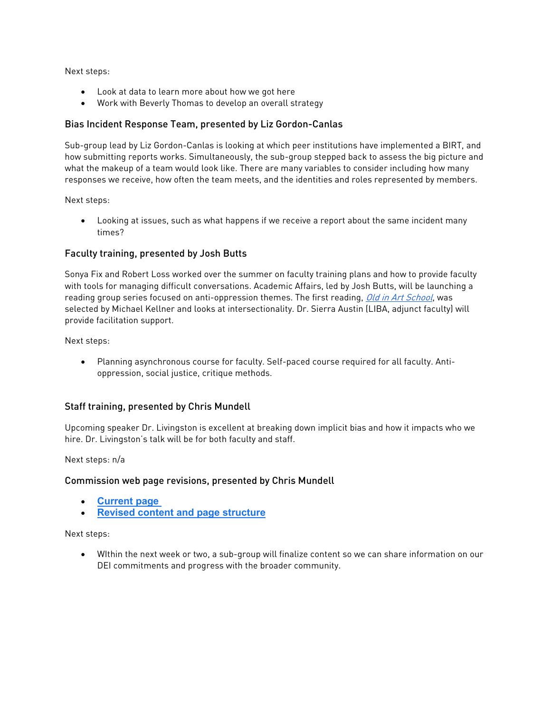Next steps:

- Look at data to learn more about how we got here
- Work with Beverly Thomas to develop an overall strategy

## Bias Incident Response Team, presented by Liz Gordon-Canlas

Sub-group lead by Liz Gordon-Canlas is looking at which peer institutions have implemented a BIRT, and how submitting reports works. Simultaneously, the sub-group stepped back to assess the big picture and what the makeup of a team would look like. There are many variables to consider including how many responses we receive, how often the team meets, and the identities and roles represented by members.

Next steps:

• Looking at issues, such as what happens if we receive a report about the same incident many times?

## Faculty training, presented by Josh Butts

Sonya Fix and Robert Loss worked over the summer on faculty training plans and how to provide faculty with tools for managing difficult conversations. Academic Affairs, led by Josh Butts, will be launching a reading group series focused on anti-oppression themes. The first reading, [Old in Art School](https://www.amazon.com/Old-Art-School-Memoir-Starting/dp/1640090614), was selected by Michael Kellner and looks at intersectionality. Dr. Sierra Austin (LIBA, adjunct faculty) will provide facilitation support.

Next steps:

• Planning asynchronous course for faculty. Self-paced course required for all faculty. Antioppression, social justice, critique methods.

# Staff training, presented by Chris Mundell

Upcoming speaker Dr. Livingston is excellent at breaking down implicit bias and how it impacts who we hire. Dr. Livingston's talk will be for both faculty and staff.

Next steps: n/a

## Commission web page revisions, presented by Chris Mundell

- **[Current page](https://www.ccad.edu/presidential-commission-diversity-equity-inclusion-plan)**
- **[Revised content and page structure](https://docs.google.com/document/d/1fWUwpDO-oxteIojbwt6WWUBkIKY2qkjgDA-Ev1HYKZY/edit)**

Next steps:

• WIthin the next week or two, a sub-group will finalize content so we can share information on our DEI commitments and progress with the broader community.